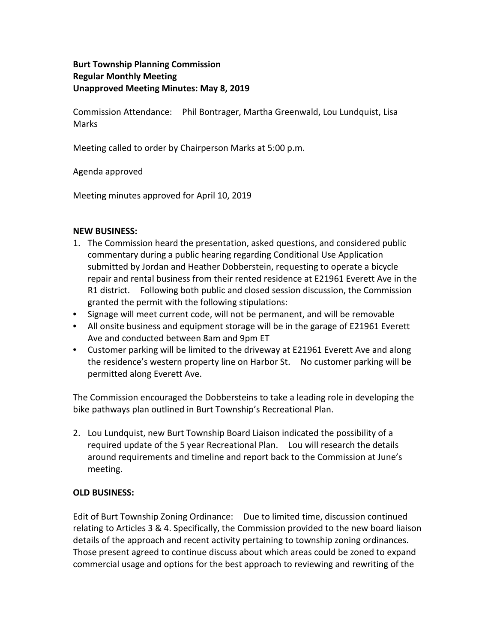## **Burt Township Planning Commission Regular Monthly Meeting Unapproved Meeting Minutes: May 8, 2019**

Commission Attendance: Phil Bontrager, Martha Greenwald, Lou Lundquist, Lisa Marks

Meeting called to order by Chairperson Marks at 5:00 p.m.

Agenda approved

Meeting minutes approved for April 10, 2019

## **NEW BUSINESS:**

- 1. The Commission heard the presentation, asked questions, and considered public commentary during a public hearing regarding Conditional Use Application submitted by Jordan and Heather Dobberstein, requesting to operate a bicycle repair and rental business from their rented residence at E21961 Everett Ave in the R1 district. Following both public and closed session discussion, the Commission granted the permit with the following stipulations:
- Signage will meet current code, will not be permanent, and will be removable
- All onsite business and equipment storage will be in the garage of E21961 Everett Ave and conducted between 8am and 9pm ET
- Customer parking will be limited to the driveway at E21961 Everett Ave and along the residence's western property line on Harbor St. No customer parking will be permitted along Everett Ave.

The Commission encouraged the Dobbersteins to take a leading role in developing the bike pathways plan outlined in Burt Township's Recreational Plan.

2. Lou Lundquist, new Burt Township Board Liaison indicated the possibility of a required update of the 5 year Recreational Plan. Lou will research the details around requirements and timeline and report back to the Commission at June's meeting.

## **OLD BUSINESS:**

Edit of Burt Township Zoning Ordinance: Due to limited time, discussion continued relating to Articles 3 & 4. Specifically, the Commission provided to the new board liaison details of the approach and recent activity pertaining to township zoning ordinances. Those present agreed to continue discuss about which areas could be zoned to expand commercial usage and options for the best approach to reviewing and rewriting of the